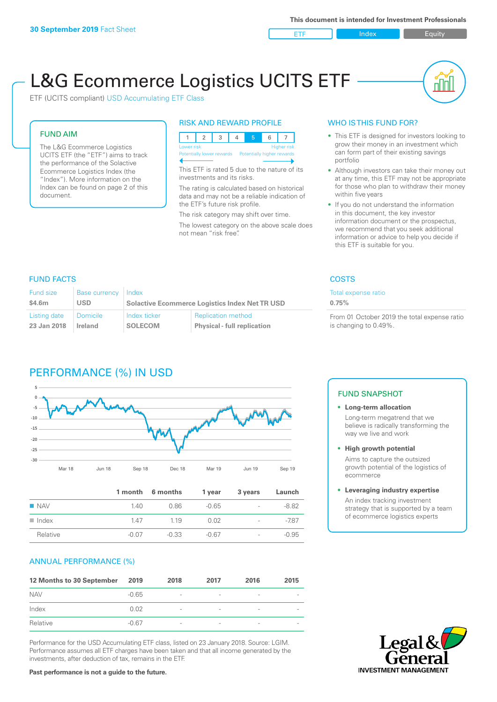ETF Index Builty

nN

# L&G Ecommerce Logistics UCITS ETF

ETF (UCITS compliant) USD Accumulating ETF Class

### FUND AIM

The L&G Ecommerce Logistics UCITS ETF (the "ETF") aims to track the performance of the Solactive Ecommerce Logistics Index (the "Index"). More information on the Index can be found on page 2 of this document.

### RISK AND REWARD PROFILE



This ETF is rated 5 due to the nature of its investments and its risks.

The rating is calculated based on historical data and may not be a reliable indication of the ETF's future risk profile.

The risk category may shift over time. The lowest category on the above scale does not mean "risk free".

### WHO IS THIS FUND FOR?

- This ETF is designed for investors looking to grow their money in an investment which can form part of their existing savings portfolio
- Although investors can take their money out at any time, this ETF may not be appropriate for those who plan to withdraw their money within five years
- If you do not understand the information in this document, the key investor information document or the prospectus, we recommend that you seek additional information or advice to help you decide if this ETF is suitable for you.

Total expense ratio

**0.75%**

From 01 October 2019 the total expense ratio is changing to 0.49%.

### FUND FACTS COSTS

| <b>Fund size</b> | Base currency | Index                                                 |                                    |  |
|------------------|---------------|-------------------------------------------------------|------------------------------------|--|
| \$4.6m           | USD           | <b>Solactive Ecommerce Logistics Index Net TR USD</b> |                                    |  |
| Listing date     | Domicile      | Index ticker                                          | <b>Replication method</b>          |  |
| 23 Jan 2018      | Ireland       | <b>SOLECOM</b>                                        | <b>Physical - full replication</b> |  |

### PERFORMANCE (%) IN USD



|                      |         | 1 month 6 months | 1 year  | 3 years                  | Launch  |
|----------------------|---------|------------------|---------|--------------------------|---------|
| $\blacksquare$ NAV   | 140     | 0.86             | $-0.65$ | $\sim$                   | $-8.82$ |
| $\blacksquare$ Index | 147     | 1 1 9            | 0.02    | $\sim$                   | $-7.87$ |
| Relative             | $-0.07$ | $-0.33$          | $-0.67$ | $\overline{\phantom{a}}$ | $-0.95$ |

### ANNUAL PERFORMANCE (%)

| 12 Months to 30 September | 2019    | 2018                     | 2017 | 2016 | 2015 |
|---------------------------|---------|--------------------------|------|------|------|
| <b>NAV</b>                | $-0.65$ | $\overline{\phantom{a}}$ |      | ۰    |      |
| Index                     | 0.02    | $\overline{\phantom{a}}$ |      | ۰    |      |
| Relative                  | $-0.67$ | $\overline{\phantom{a}}$ |      |      |      |

Performance for the USD Accumulating ETF class, listed on 23 January 2018. Source: LGIM. Performance assumes all ETF charges have been taken and that all income generated by the investments, after deduction of tax, remains in the ETF.

### FUND SNAPSHOT

**• Long-term allocation** Long-term megatrend that we believe is radically transforming the way we live and work

**• High growth potential**

Aims to capture the outsized growth potential of the logistics of ecommerce

#### **• Leveraging industry expertise**

An index tracking investment strategy that is supported by a team of ecommerce logistics experts



**Past performance is not a guide to the future.**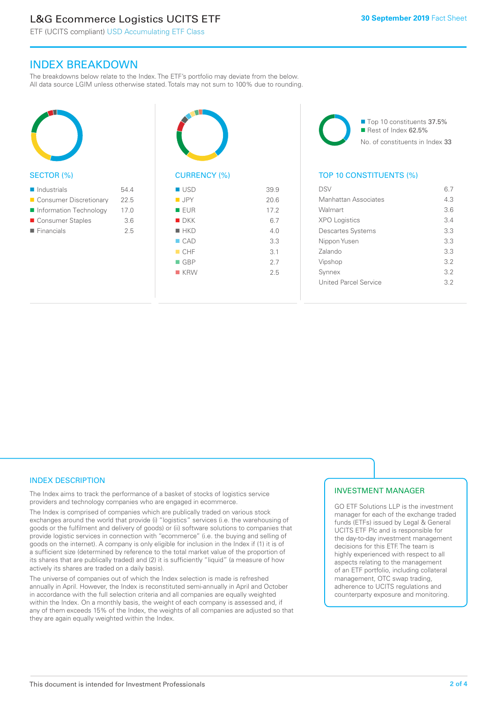### L&G Ecommerce Logistics UCITS ETF

ETF (UCITS compliant) USD Accumulating ETF Class

### INDEX BREAKDOWN

The breakdowns below relate to the Index. The ETF's portfolio may deviate from the below. All data source LGIM unless otherwise stated. Totals may not sum to 100% due to rounding.



#### SECTOR (%)

| $\blacksquare$ Industrials | 544  |
|----------------------------|------|
| ■ Consumer Discretionary   | 22.5 |
| Information Technology     | 17.0 |
| ■ Consumer Staples         | 3.6  |
| $\blacksquare$ Financials  | 25   |
|                            |      |



## CURRENCY (%)

| $\blacksquare$ USD | 39.9 |
|--------------------|------|
| $\blacksquare$ JPY | 20.6 |
| EUR                | 17.2 |
| $\blacksquare$ DKK | 6.7  |
| $H$ HKD            | 4.0  |
| $\Box$ CAD         | 3.3  |
| CHF                | 3.1  |
| $\Box$ GBP         | 2.7  |
| $R$ KRW            | 2.5  |
|                    |      |

■ Top 10 constituents 37.5% Rest of Index 62.5% No. of constituents in Index 33

### TOP 10 CONSTITUENTS (%)

| DSV                      | 67  |
|--------------------------|-----|
| Manhattan Associates     | 4.3 |
| Walmart                  | 3.6 |
| <b>XPO Logistics</b>     | 34  |
| <b>Descartes Systems</b> | 3.3 |
| Nippon Yusen             | 33  |
| Zalando                  | 3.3 |
| Vipshop                  | 32  |
| Synnex                   | 3.2 |
| United Parcel Service    | 32  |
|                          |     |

### INDEX DESCRIPTION

The Index aims to track the performance of a basket of stocks of logistics service providers and technology companies who are engaged in ecommerce.

The Index is comprised of companies which are publically traded on various stock exchanges around the world that provide (i) "logistics" services (i.e. the warehousing of goods or the fulfilment and delivery of goods) or (ii) software solutions to companies that provide logistic services in connection with "ecommerce" (i.e. the buying and selling of goods on the internet). A company is only eligible for inclusion in the Index if (1) it is of a sufficient size (determined by reference to the total market value of the proportion of its shares that are publically traded) and (2) it is sufficiently "liquid" (a measure of how actively its shares are traded on a daily basis).

The universe of companies out of which the Index selection is made is refreshed annually in April. However, the Index is reconstituted semi-annually in April and October in accordance with the full selection criteria and all companies are equally weighted within the Index. On a monthly basis, the weight of each company is assessed and, if any of them exceeds 15% of the Index, the weights of all companies are adjusted so that they are again equally weighted within the Index.

### INVESTMENT MANAGER

GO ETF Solutions LLP is the investment manager for each of the exchange traded funds (ETFs) issued by Legal & General UCITS ETF Plc and is responsible for the day-to-day investment management decisions for this ETF. The team is highly experienced with respect to all aspects relating to the management of an ETF portfolio, including collateral management, OTC swap trading, adherence to UCITS regulations and counterparty exposure and monitoring.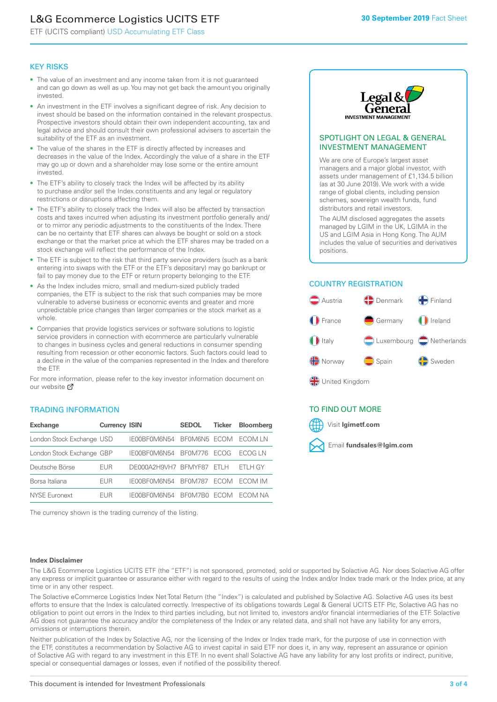### L&G Ecommerce Logistics UCITS ETF

ETF (UCITS compliant) USD Accumulating ETF Class

### KEY RISKS

- The value of an investment and any income taken from it is not guaranteed and can go down as well as up. You may not get back the amount you originally invested.
- An investment in the ETF involves a significant degree of risk. Any decision to invest should be based on the information contained in the relevant prospectus. Prospective investors should obtain their own independent accounting, tax and legal advice and should consult their own professional advisers to ascertain the suitability of the ETF as an investment.
- The value of the shares in the ETF is directly affected by increases and decreases in the value of the Index. Accordingly the value of a share in the ETF may go up or down and a shareholder may lose some or the entire amount invested.
- The ETF's ability to closely track the Index will be affected by its ability to purchase and/or sell the Index constituents and any legal or regulatory restrictions or disruptions affecting them.
- The ETF's ability to closely track the Index will also be affected by transaction costs and taxes incurred when adjusting its investment portfolio generally and/ or to mirror any periodic adjustments to the constituents of the Index. There can be no certainty that ETF shares can always be bought or sold on a stock exchange or that the market price at which the ETF shares may be traded on a stock exchange will reflect the performance of the Index.
- The ETF is subject to the risk that third party service providers (such as a bank entering into swaps with the ETF or the ETF's depositary) may go bankrupt or fail to pay money due to the ETF or return property belonging to the ETF.
- As the Index includes micro, small and medium-sized publicly traded companies, the ETF is subject to the risk that such companies may be more vulnerable to adverse business or economic events and greater and more unpredictable price changes than larger companies or the stock market as a whole.
- Companies that provide logistics services or software solutions to logistic service providers in connection with ecommerce are particularly vulnerable to changes in business cycles and general reductions in consumer spending resulting from recession or other economic factors. Such factors could lead to a decline in the value of the companies represented in the Index and therefore the ETF.

For more information, please refer to the key investor information document on our website **Z** 

### TRADING INFORMATION

| <b>Exchange</b>           | <b>Currency ISIN</b> |                      | <b>SEDOL</b>   | <b>Ticker</b> | Bloomberg |
|---------------------------|----------------------|----------------------|----------------|---------------|-----------|
| London Stock Exchange USD |                      | IE00BF0M6N54         | BFOM6N5 ECOM   |               | ECOM IN   |
| London Stock Exchange GBP |                      | IE00BF0M6N54         | <b>BF0M776</b> | <b>FCOG</b>   | FCOG IN   |
| Deutsche Börse            | EUR                  | DE000A2H9VH7 BFMYF87 |                | FTI H         | ETLH GY   |
| Borsa Italiana            | EUR                  | IE00BF0M6N54         | <b>BF0M787</b> | <b>FCOM</b>   | ECOM IM   |
| NYSE Euronext             | <b>FUR</b>           | IF00BF0M6N54         | BF0M7B0        | <b>FCOM</b>   | FCOM NA   |

The currency shown is the trading currency of the listing.



### SPOTLIGHT ON LEGAL & GENERAL INVESTMENT MANAGEMENT

We are one of Europe's largest asset managers and a major global investor, with assets under management of £1,134.5 billion (as at 30 June 2019). We work with a wide range of global clients, including pension schemes, sovereign wealth funds, fund distributors and retail investors.

The AUM disclosed aggregates the assets managed by LGIM in the UK, LGIMA in the US and LGIM Asia in Hong Kong. The AUM includes the value of securities and derivatives positions.

### COUNTRY REGISTRATION



∰ United Kingdom

### TO FIND OUT MORE



### **Index Disclaimer**

The L&G Ecommerce Logistics UCITS ETF (the "ETF") is not sponsored, promoted, sold or supported by Solactive AG. Nor does Solactive AG offer any express or implicit guarantee or assurance either with regard to the results of using the Index and/or Index trade mark or the Index price, at any time or in any other respect.

The Solactive eCommerce Logistics Index Net Total Return (the "Index") is calculated and published by Solactive AG. Solactive AG uses its best efforts to ensure that the Index is calculated correctly. Irrespective of its obligations towards Legal & General UCITS ETF Plc, Solactive AG has no obligation to point out errors in the Index to third parties including, but not limited to, investors and/or financial intermediaries of the ETF. Solactive AG does not guarantee the accuracy and/or the completeness of the Index or any related data, and shall not have any liability for any errors, omissions or interruptions therein.

Neither publication of the Index by Solactive AG, nor the licensing of the Index or Index trade mark, for the purpose of use in connection with the ETF, constitutes a recommendation by Solactive AG to invest capital in said ETF nor does it, in any way, represent an assurance or opinion of Solactive AG with regard to any investment in this ETF. In no event shall Solactive AG have any liability for any lost profits or indirect, punitive, special or consequential damages or losses, even if notified of the possibility thereof.